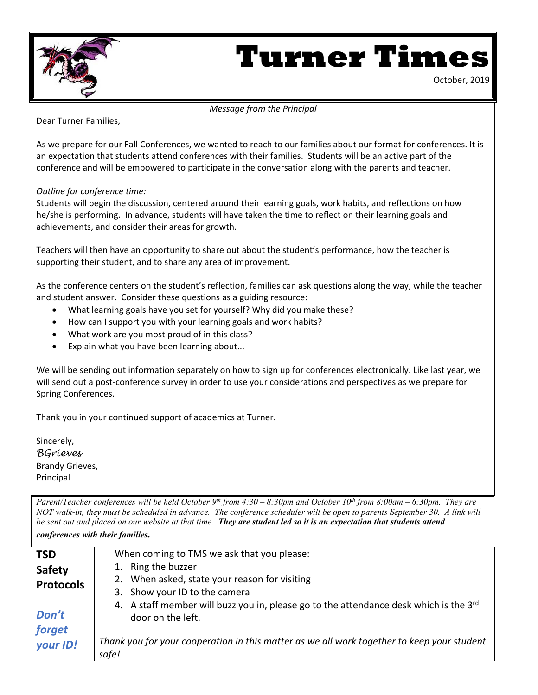

# **Turner Times**

October, 2019

#### *Message from the Principal*

Dear Turner Families,

As we prepare for our Fall Conferences, we wanted to reach to our families about our format for conferences. It is an expectation that students attend conferences with their families. Students will be an active part of the conference and will be empowered to participate in the conversation along with the parents and teacher.

#### *Outline for conference time:*

Students will begin the discussion, centered around their learning goals, work habits, and reflections on how he/she is performing. In advance, students will have taken the time to reflect on their learning goals and achievements, and consider their areas for growth.

Teachers will then have an opportunity to share out about the student's performance, how the teacher is supporting their student, and to share any area of improvement.

As the conference centers on the student's reflection, families can ask questions along the way, while the teacher and student answer. Consider these questions as a guiding resource:

- What learning goals have you set for yourself? Why did you make these?
- How can I support you with your learning goals and work habits?
- What work are you most proud of in this class?
- Explain what you have been learning about...

We will be sending out information separately on how to sign up for conferences electronically. Like last year, we will send out a post-conference survey in order to use your considerations and perspectives as we prepare for Spring Conferences.

Thank you in your continued support of academics at Turner.

Sincerely, *BGrieves* Brandy Grieves, Principal

*Parent/Teacher conferences will be held October 9th from 4:30 – 8:30pm and October 10th from 8:00am – 6:30pm. They are NOT walk-in, they must be scheduled in advance. The conference scheduler will be open to parents September 30. A link will be sent out and placed on our website at that time. They are student led so it is an expectation that students attend conferences with their families.*

| <b>TSD</b>       | When coming to TMS we ask that you please:                                                                 |
|------------------|------------------------------------------------------------------------------------------------------------|
| <b>Safety</b>    | 1. Ring the buzzer                                                                                         |
| <b>Protocols</b> | 2. When asked, state your reason for visiting                                                              |
|                  | 3. Show your ID to the camera                                                                              |
| Don't            | 4. A staff member will buzz you in, please go to the attendance desk which is the 3rd<br>door on the left. |
| forget           |                                                                                                            |
| your ID!         | Thank you for your cooperation in this matter as we all work together to keep your student<br>safe!        |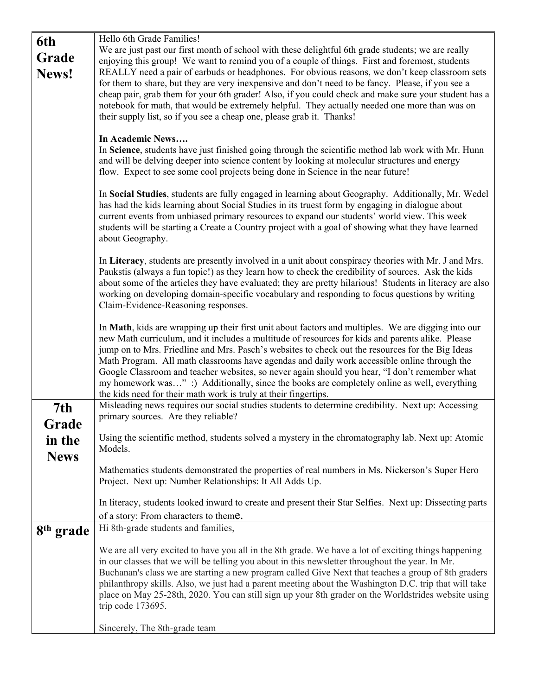| We are just past our first month of school with these delightful 6th grade students; we are really                                                                                                      |
|---------------------------------------------------------------------------------------------------------------------------------------------------------------------------------------------------------|
| enjoying this group! We want to remind you of a couple of things. First and foremost, students                                                                                                          |
| REALLY need a pair of earbuds or headphones. For obvious reasons, we don't keep classroom sets                                                                                                          |
| for them to share, but they are very inexpensive and don't need to be fancy. Please, if you see a                                                                                                       |
| cheap pair, grab them for your 6th grader! Also, if you could check and make sure your student has a                                                                                                    |
| notebook for math, that would be extremely helpful. They actually needed one more than was on                                                                                                           |
|                                                                                                                                                                                                         |
|                                                                                                                                                                                                         |
|                                                                                                                                                                                                         |
| In Science, students have just finished going through the scientific method lab work with Mr. Hunn                                                                                                      |
| and will be delving deeper into science content by looking at molecular structures and energy                                                                                                           |
|                                                                                                                                                                                                         |
|                                                                                                                                                                                                         |
| In Social Studies, students are fully engaged in learning about Geography. Additionally, Mr. Wedel<br>has had the kids learning about Social Studies in its truest form by engaging in dialogue about   |
| current events from unbiased primary resources to expand our students' world view. This week                                                                                                            |
| students will be starting a Create a Country project with a goal of showing what they have learned                                                                                                      |
|                                                                                                                                                                                                         |
|                                                                                                                                                                                                         |
| In Literacy, students are presently involved in a unit about conspiracy theories with Mr. J and Mrs.                                                                                                    |
| Paukstis (always a fun topic!) as they learn how to check the credibility of sources. Ask the kids                                                                                                      |
| about some of the articles they have evaluated; they are pretty hilarious! Students in literacy are also                                                                                                |
| working on developing domain-specific vocabulary and responding to focus questions by writing                                                                                                           |
|                                                                                                                                                                                                         |
|                                                                                                                                                                                                         |
| In Math, kids are wrapping up their first unit about factors and multiples. We are digging into our<br>new Math curriculum, and it includes a multitude of resources for kids and parents alike. Please |
| jump on to Mrs. Friedline and Mrs. Pasch's websites to check out the resources for the Big Ideas                                                                                                        |
| Math Program. All math classrooms have agendas and daily work accessible online through the                                                                                                             |
| Google Classroom and teacher websites, so never again should you hear, "I don't remember what                                                                                                           |
| my homework was" :) Additionally, since the books are completely online as well, everything                                                                                                             |
|                                                                                                                                                                                                         |
| Misleading news requires our social studies students to determine credibility. Next up: Accessing                                                                                                       |
|                                                                                                                                                                                                         |
|                                                                                                                                                                                                         |
| Using the scientific method, students solved a mystery in the chromatography lab. Next up: Atomic                                                                                                       |
|                                                                                                                                                                                                         |
| Mathematics students demonstrated the properties of real numbers in Ms. Nickerson's Super Hero                                                                                                          |
|                                                                                                                                                                                                         |
|                                                                                                                                                                                                         |
| In literacy, students looked inward to create and present their Star Selfies. Next up: Dissecting parts                                                                                                 |
|                                                                                                                                                                                                         |
|                                                                                                                                                                                                         |
|                                                                                                                                                                                                         |
| We are all very excited to have you all in the 8th grade. We have a lot of exciting things happening                                                                                                    |
| in our classes that we will be telling you about in this newsletter throughout the year. In Mr.                                                                                                         |
| Buchanan's class we are starting a new program called Give Next that teaches a group of 8th graders                                                                                                     |
| philanthropy skills. Also, we just had a parent meeting about the Washington D.C. trip that will take                                                                                                   |
| place on May 25-28th, 2020. You can still sign up your 8th grader on the Worldstrides website using                                                                                                     |
|                                                                                                                                                                                                         |
|                                                                                                                                                                                                         |
|                                                                                                                                                                                                         |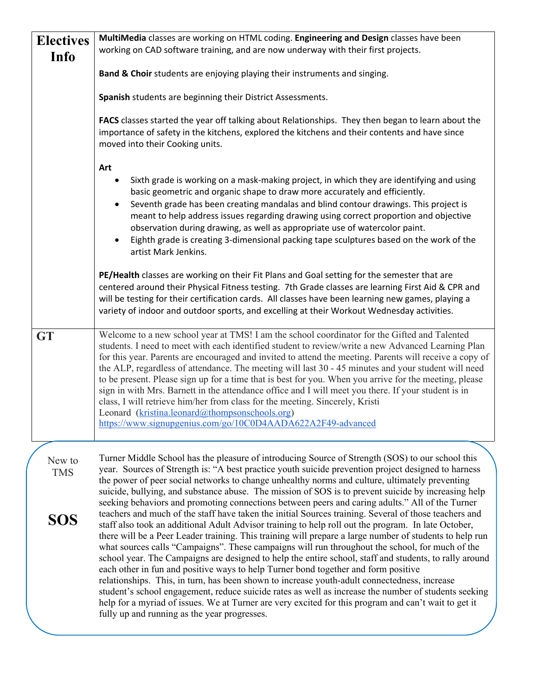| <b>Electives</b>     | MultiMedia classes are working on HTML coding. Engineering and Design classes have been                                                                                                                                                                                                                                                                                                                                                                                                                                                                                                                                                                                                                                                                                                                                                                                                                                                                                                    |
|----------------------|--------------------------------------------------------------------------------------------------------------------------------------------------------------------------------------------------------------------------------------------------------------------------------------------------------------------------------------------------------------------------------------------------------------------------------------------------------------------------------------------------------------------------------------------------------------------------------------------------------------------------------------------------------------------------------------------------------------------------------------------------------------------------------------------------------------------------------------------------------------------------------------------------------------------------------------------------------------------------------------------|
| Info                 | working on CAD software training, and are now underway with their first projects.                                                                                                                                                                                                                                                                                                                                                                                                                                                                                                                                                                                                                                                                                                                                                                                                                                                                                                          |
|                      | Band & Choir students are enjoying playing their instruments and singing.                                                                                                                                                                                                                                                                                                                                                                                                                                                                                                                                                                                                                                                                                                                                                                                                                                                                                                                  |
|                      | Spanish students are beginning their District Assessments.                                                                                                                                                                                                                                                                                                                                                                                                                                                                                                                                                                                                                                                                                                                                                                                                                                                                                                                                 |
|                      | FACS classes started the year off talking about Relationships. They then began to learn about the<br>importance of safety in the kitchens, explored the kitchens and their contents and have since<br>moved into their Cooking units.                                                                                                                                                                                                                                                                                                                                                                                                                                                                                                                                                                                                                                                                                                                                                      |
|                      | Art<br>Sixth grade is working on a mask-making project, in which they are identifying and using<br>basic geometric and organic shape to draw more accurately and efficiently.<br>Seventh grade has been creating mandalas and blind contour drawings. This project is<br>meant to help address issues regarding drawing using correct proportion and objective<br>observation during drawing, as well as appropriate use of watercolor paint.<br>Eighth grade is creating 3-dimensional packing tape sculptures based on the work of the<br>artist Mark Jenkins.                                                                                                                                                                                                                                                                                                                                                                                                                           |
|                      | PE/Health classes are working on their Fit Plans and Goal setting for the semester that are<br>centered around their Physical Fitness testing. 7th Grade classes are learning First Aid & CPR and<br>will be testing for their certification cards. All classes have been learning new games, playing a<br>variety of indoor and outdoor sports, and excelling at their Workout Wednesday activities.                                                                                                                                                                                                                                                                                                                                                                                                                                                                                                                                                                                      |
| <b>GT</b>            | Welcome to a new school year at TMS! I am the school coordinator for the Gifted and Talented<br>students. I need to meet with each identified student to review/write a new Advanced Learning Plan<br>for this year. Parents are encouraged and invited to attend the meeting. Parents will receive a copy of<br>the ALP, regardless of attendance. The meeting will last 30 - 45 minutes and your student will need<br>to be present. Please sign up for a time that is best for you. When you arrive for the meeting, please<br>sign in with Mrs. Barnett in the attendance office and I will meet you there. If your student is in<br>class, I will retrieve him/her from class for the meeting. Sincerely, Kristi<br>Leonard (kristina.leonard@thompsonschools.org)<br>https://www.signupgenius.com/go/10C0D4AADA622A2F49-advanced                                                                                                                                                     |
| New to<br><b>TMS</b> | Turner Middle School has the pleasure of introducing Source of Strength (SOS) to our school this<br>year. Sources of Strength is: "A best practice youth suicide prevention project designed to harness<br>the power of peer social networks to change unhealthy norms and culture, ultimately preventing<br>suicide, bullying, and substance abuse. The mission of SOS is to prevent suicide by increasing help<br>seeking behaviors and promoting connections between peers and caring adults." All of the Turner                                                                                                                                                                                                                                                                                                                                                                                                                                                                        |
| SOS                  | teachers and much of the staff have taken the initial Sources training. Several of those teachers and<br>staff also took an additional Adult Advisor training to help roll out the program. In late October,<br>there will be a Peer Leader training. This training will prepare a large number of students to help run<br>what sources calls "Campaigns". These campaigns will run throughout the school, for much of the<br>school year. The Campaigns are designed to help the entire school, staff and students, to rally around<br>each other in fun and positive ways to help Turner bond together and form positive<br>relationships. This, in turn, has been shown to increase youth-adult connectedness, increase<br>student's school engagement, reduce suicide rates as well as increase the number of students seeking<br>help for a myriad of issues. We at Turner are very excited for this program and can't wait to get it<br>fully up and running as the year progresses. |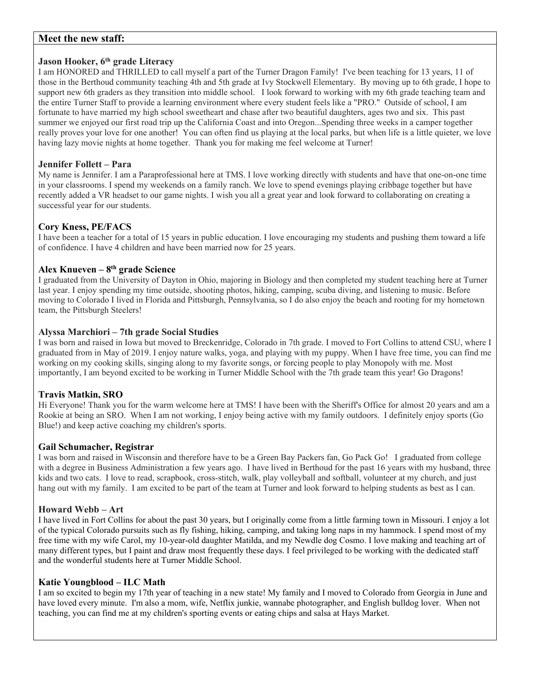#### **Meet the new staff:**

#### **Jason Hooker, 6th grade Literacy**

I am HONORED and THRILLED to call myself a part of the Turner Dragon Family! I've been teaching for 13 years, 11 of those in the Berthoud community teaching 4th and 5th grade at Ivy Stockwell Elementary. By moving up to 6th grade, I hope to support new 6th graders as they transition into middle school. I look forward to working with my 6th grade teaching team and the entire Turner Staff to provide a learning environment where every student feels like a "PRO." Outside of school, I am fortunate to have married my high school sweetheart and chase after two beautiful daughters, ages two and six. This past summer we enjoyed our first road trip up the California Coast and into Oregon...Spending three weeks in a camper together really proves your love for one another! You can often find us playing at the local parks, but when life is a little quieter, we love having lazy movie nights at home together. Thank you for making me feel welcome at Turner!

#### **Jennifer Follett – Para**

My name is Jennifer. I am a Paraprofessional here at TMS. I love working directly with students and have that one-on-one time in your classrooms. I spend my weekends on a family ranch. We love to spend evenings playing cribbage together but have recently added a VR headset to our game nights. I wish you all a great year and look forward to collaborating on creating a successful year for our students.

#### **Cory Kness, PE/FACS**

I have been a teacher for a total of 15 years in public education. I love encouraging my students and pushing them toward a life of confidence. I have 4 children and have been married now for 25 years.

#### **Alex Knueven – 8th grade Science**

I graduated from the University of Dayton in Ohio, majoring in Biology and then completed my student teaching here at Turner last year. I enjoy spending my time outside, shooting photos, hiking, camping, scuba diving, and listening to music. Before moving to Colorado I lived in Florida and Pittsburgh, Pennsylvania, so I do also enjoy the beach and rooting for my hometown team, the Pittsburgh Steelers!

#### **Alyssa Marchiori – 7th grade Social Studies**

I was born and raised in Iowa but moved to Breckenridge, Colorado in 7th grade. I moved to Fort Collins to attend CSU, where I graduated from in May of 2019. I enjoy nature walks, yoga, and playing with my puppy. When I have free time, you can find me working on my cooking skills, singing along to my favorite songs, or forcing people to play Monopoly with me. Most importantly, I am beyond excited to be working in Turner Middle School with the 7th grade team this year! Go Dragons!

#### **Travis Matkin, SRO**

Hi Everyone! Thank you for the warm welcome here at TMS! I have been with the Sheriff's Office for almost 20 years and am a Rookie at being an SRO. When I am not working, I enjoy being active with my family outdoors. I definitely enjoy sports (Go Blue!) and keep active coaching my children's sports.

#### **Gail Schumacher, Registrar**

I was born and raised in Wisconsin and therefore have to be a Green Bay Packers fan, Go Pack Go! I graduated from college with a degree in Business Administration a few years ago. I have lived in Berthoud for the past 16 years with my husband, three kids and two cats. I love to read, scrapbook, cross-stitch, walk, play volleyball and softball, volunteer at my church, and just hang out with my family. I am excited to be part of the team at Turner and look forward to helping students as best as I can.

#### **Howard Webb – Art**

I have lived in Fort Collins for about the past 30 years, but I originally come from a little farming town in Missouri. I enjoy a lot of the typical Colorado pursuits such as fly fishing, hiking, camping, and taking long naps in my hammock. I spend most of my free time with my wife Carol, my 10-year-old daughter Matilda, and my Newdle dog Cosmo. I love making and teaching art of many different types, but I paint and draw most frequently these days. I feel privileged to be working with the dedicated staff and the wonderful students here at Turner Middle School.

#### **Katie Youngblood – ILC Math**

I am so excited to begin my 17th year of teaching in a new state! My family and I moved to Colorado from Georgia in June and have loved every minute. I'm also a mom, wife, Netflix junkie, wannabe photographer, and English bulldog lover. When not teaching, you can find me at my children's sporting events or eating chips and salsa at Hays Market.